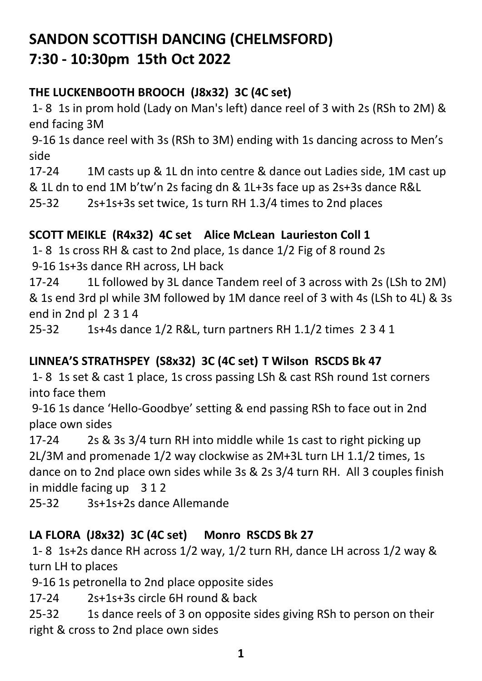# **SANDON SCOTTISH DANCING (CHELMSFORD) 7:30 - 10:30pm 15th Oct 2022**

### **THE LUCKENBOOTH BROOCH (J8x32) 3C (4C set)**

1- 8 1s in prom hold (Lady on Man's left) dance reel of 3 with 2s (RSh to 2M) & end facing 3M

9-16 1s dance reel with 3s (RSh to 3M) ending with 1s dancing across to Men's side

17-24 1M casts up & 1L dn into centre & dance out Ladies side, 1M cast up & 1L dn to end 1M b'tw'n 2s facing dn & 1L+3s face up as 2s+3s dance R&L

25-32 2s+1s+3s set twice, 1s turn RH 1.3/4 times to 2nd places

## **SCOTT MEIKLE (R4x32) 4C set Alice McLean Laurieston Coll 1**

1- 8 1s cross RH & cast to 2nd place, 1s dance 1/2 Fig of 8 round 2s 9-16 1s+3s dance RH across, LH back

17-24 1L followed by 3L dance Tandem reel of 3 across with 2s (LSh to 2M) & 1s end 3rd pl while 3M followed by 1M dance reel of 3 with 4s (LSh to 4L) & 3s end in 2nd pl 2 3 1 4

25-32 1s+4s dance 1/2 R&L, turn partners RH 1.1/2 times 2 3 4 1

## **LINNEA'S STRATHSPEY (S8x32) 3C (4C set) T Wilson RSCDS Bk 47**

1- 8 1s set & cast 1 place, 1s cross passing LSh & cast RSh round 1st corners into face them

9-16 1s dance 'Hello-Goodbye' setting & end passing RSh to face out in 2nd place own sides

17-24 2s & 3s 3/4 turn RH into middle while 1s cast to right picking up 2L/3M and promenade 1/2 way clockwise as 2M+3L turn LH 1.1/2 times, 1s dance on to 2nd place own sides while 3s & 2s 3/4 turn RH. All 3 couples finish in middle facing up 3 1 2

25-32 3s+1s+2s dance Allemande

## **LA FLORA (J8x32) 3C (4C set) Monro RSCDS Bk 27**

1- 8 1s+2s dance RH across 1/2 way, 1/2 turn RH, dance LH across 1/2 way & turn LH to places

9-16 1s petronella to 2nd place opposite sides

17-24 2s+1s+3s circle 6H round & back

25-32 1s dance reels of 3 on opposite sides giving RSh to person on their right & cross to 2nd place own sides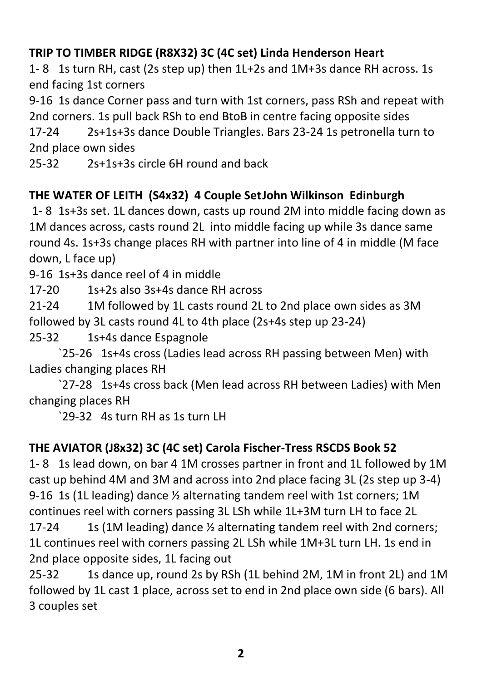#### **TRIP TO TIMBER RIDGE (R8X32) 3C (4C set) Linda Henderson Heart**

1- 8 1s turn RH, cast (2s step up) then 1L+2s and 1M+3s dance RH across. 1s end facing 1st corners

9-16 1s dance Corner pass and turn with 1st corners, pass RSh and repeat with 2nd corners. 1s pull back RSh to end BtoB in centre facing opposite sides

17-24 2s+1s+3s dance Double Triangles. Bars 23-24 1s petronella turn to 2nd place own sides

25-32 2s+1s+3s circle 6H round and back

#### **THE WATER OF LEITH (S4x32) 4 Couple SetJohn Wilkinson Edinburgh**

1- 8 1s+3s set. 1L dances down, casts up round 2M into middle facing down as 1M dances across, casts round 2L into middle facing up while 3s dance same round 4s. 1s+3s change places RH with partner into line of 4 in middle (M face down, L face up)

9-16 1s+3s dance reel of 4 in middle

17-20 1s+2s also 3s+4s dance RH across

21-24 1M followed by 1L casts round 2L to 2nd place own sides as 3M followed by 3L casts round 4L to 4th place (2s+4s step up 23-24)

25-32 1s+4s dance Espagnole

`25-26 1s+4s cross (Ladies lead across RH passing between Men) with Ladies changing places RH

`27-28 1s+4s cross back (Men lead across RH between Ladies) with Men changing places RH

`29-32 4s turn RH as 1s turn LH

#### **THE AVIATOR (J8x32) 3C (4C set) Carola Fischer-Tress RSCDS Book 52**

1- 8 1s lead down, on bar 4 1M crosses partner in front and 1L followed by 1M cast up behind 4M and 3M and across into 2nd place facing 3L (2s step up 3-4) 9-16 1s (1L leading) dance ½ alternating tandem reel with 1st corners; 1M continues reel with corners passing 3L LSh while 1L+3M turn LH to face 2L

17-24 1s (1M leading) dance  $\frac{1}{2}$  alternating tandem reel with 2nd corners; 1L continues reel with corners passing 2L LSh while 1M+3L turn LH. 1s end in 2nd place opposite sides, 1L facing out

25-32 1s dance up, round 2s by RSh (1L behind 2M, 1M in front 2L) and 1M followed by 1L cast 1 place, across set to end in 2nd place own side (6 bars). All 3 couples set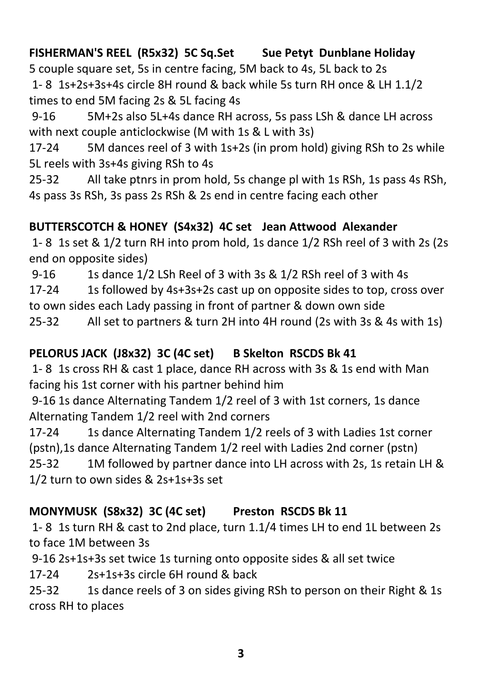### **FISHERMAN'S REEL (R5x32) 5C Sq.Set Sue Petyt Dunblane Holiday**

5 couple square set, 5s in centre facing, 5M back to 4s, 5L back to 2s 1- 8 1s+2s+3s+4s circle 8H round & back while 5s turn RH once & LH 1.1/2 times to end 5M facing 2s & 5L facing 4s

9-16 5M+2s also 5L+4s dance RH across, 5s pass LSh & dance LH across with next couple anticlockwise (M with 1s & L with 3s)

17-24 5M dances reel of 3 with 1s+2s (in prom hold) giving RSh to 2s while 5L reels with 3s+4s giving RSh to 4s

25-32 All take ptnrs in prom hold, 5s change pl with 1s RSh, 1s pass 4s RSh, 4s pass 3s RSh, 3s pass 2s RSh & 2s end in centre facing each other

#### **BUTTERSCOTCH & HONEY (S4x32) 4C set Jean Attwood Alexander**

1- 8 1s set & 1/2 turn RH into prom hold, 1s dance 1/2 RSh reel of 3 with 2s (2s end on opposite sides)

9-16 1s dance 1/2 LSh Reel of 3 with 3s & 1/2 RSh reel of 3 with 4s

17-24 1s followed by 4s+3s+2s cast up on opposite sides to top, cross over to own sides each Lady passing in front of partner & down own side

25-32 All set to partners & turn 2H into 4H round (2s with 3s & 4s with 1s)

## **PELORUS JACK (J8x32) 3C (4C set) B Skelton RSCDS Bk 41**

1- 8 1s cross RH & cast 1 place, dance RH across with 3s & 1s end with Man facing his 1st corner with his partner behind him

9-16 1s dance Alternating Tandem 1/2 reel of 3 with 1st corners, 1s dance Alternating Tandem 1/2 reel with 2nd corners

17-24 1s dance Alternating Tandem 1/2 reels of 3 with Ladies 1st corner (pstn),1s dance Alternating Tandem 1/2 reel with Ladies 2nd corner (pstn) 25-32 1M followed by partner dance into LH across with 2s, 1s retain LH & 1/2 turn to own sides & 2s+1s+3s set

## **MONYMUSK (S8x32) 3C (4C set) Preston RSCDS Bk 11**

1- 8 1s turn RH & cast to 2nd place, turn 1.1/4 times LH to end 1L between 2s to face 1M between 3s

9-16 2s+1s+3s set twice 1s turning onto opposite sides & all set twice

17-24 2s+1s+3s circle 6H round & back

25-32 1s dance reels of 3 on sides giving RSh to person on their Right & 1s cross RH to places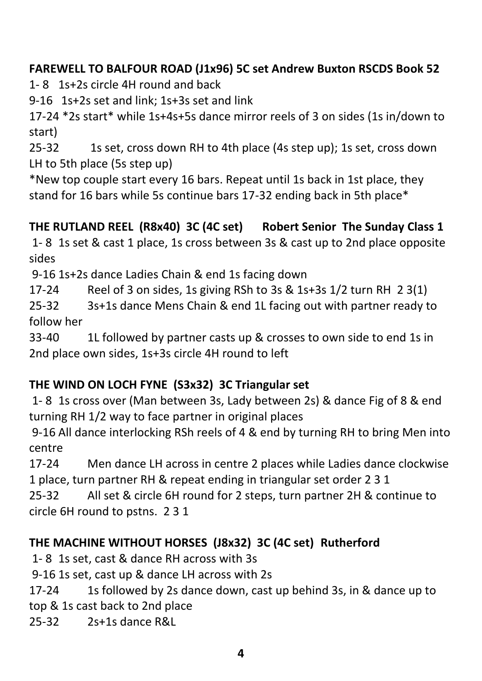#### **FAREWELL TO BALFOUR ROAD (J1x96) 5C set Andrew Buxton RSCDS Book 52**

1- 8 1s+2s circle 4H round and back

9-16 1s+2s set and link; 1s+3s set and link

17-24 \*2s start\* while 1s+4s+5s dance mirror reels of 3 on sides (1s in/down to start)

25-32 1s set, cross down RH to 4th place (4s step up); 1s set, cross down LH to 5th place (5s step up)

\*New top couple start every 16 bars. Repeat until 1s back in 1st place, they stand for 16 bars while 5s continue bars 17-32 ending back in 5th place\*

## **THE RUTLAND REEL (R8x40) 3C (4C set) Robert Senior The Sunday Class 1**

1- 8 1s set & cast 1 place, 1s cross between 3s & cast up to 2nd place opposite sides

9-16 1s+2s dance Ladies Chain & end 1s facing down

17-24 Reel of 3 on sides, 1s giving RSh to 3s & 1s+3s 1/2 turn RH 2 3(1)

25-32 3s+1s dance Mens Chain & end 1L facing out with partner ready to follow her

33-40 1L followed by partner casts up & crosses to own side to end 1s in 2nd place own sides, 1s+3s circle 4H round to left

#### **THE WIND ON LOCH FYNE (S3x32) 3C Triangular set**

1- 8 1s cross over (Man between 3s, Lady between 2s) & dance Fig of 8 & end turning RH 1/2 way to face partner in original places

9-16 All dance interlocking RSh reels of 4 & end by turning RH to bring Men into centre

17-24 Men dance LH across in centre 2 places while Ladies dance clockwise 1 place, turn partner RH & repeat ending in triangular set order 2 3 1

25-32 All set & circle 6H round for 2 steps, turn partner 2H & continue to circle 6H round to pstns. 2 3 1

## **THE MACHINE WITHOUT HORSES (J8x32) 3C (4C set) Rutherford**

1- 8 1s set, cast & dance RH across with 3s

9-16 1s set, cast up & dance LH across with 2s

17-24 1s followed by 2s dance down, cast up behind 3s, in & dance up to top & 1s cast back to 2nd place

25-32 2s+1s dance R&L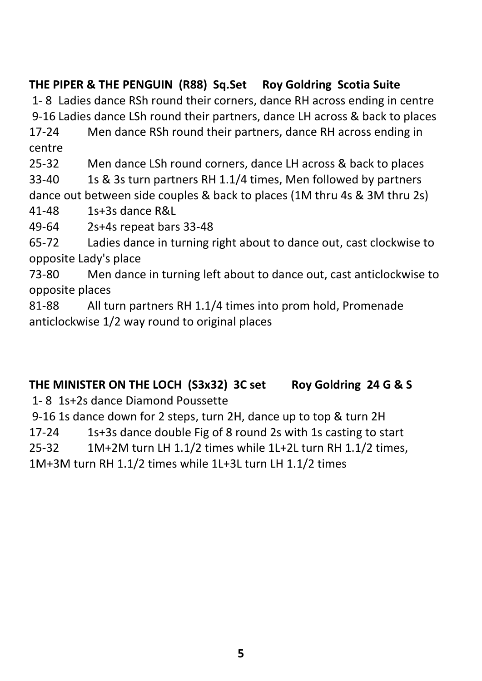# **THE PIPER & THE PENGUIN (R88) Sq.Set Roy Goldring Scotia Suite**

1- 8 Ladies dance RSh round their corners, dance RH across ending in centre 9-16 Ladies dance LSh round their partners, dance LH across & back to places

17-24 Men dance RSh round their partners, dance RH across ending in centre

25-32 Men dance LSh round corners, dance LH across & back to places

33-40 1s & 3s turn partners RH 1.1/4 times, Men followed by partners dance out between side couples & back to places (1M thru 4s & 3M thru 2s)

41-48 1s+3s dance R&L

49-64 2s+4s repeat bars 33-48

65-72 Ladies dance in turning right about to dance out, cast clockwise to opposite Lady's place

73-80 Men dance in turning left about to dance out, cast anticlockwise to opposite places

81-88 All turn partners RH 1.1/4 times into prom hold, Promenade anticlockwise 1/2 way round to original places

# **THE MINISTER ON THE LOCH (S3x32) 3C set Roy Goldring 24 G & S**

1- 8 1s+2s dance Diamond Poussette

9-16 1s dance down for 2 steps, turn 2H, dance up to top & turn 2H

17-24 1s+3s dance double Fig of 8 round 2s with 1s casting to start

25-32 1M+2M turn LH 1.1/2 times while 1L+2L turn RH 1.1/2 times,

1M+3M turn RH 1.1/2 times while 1L+3L turn LH 1.1/2 times